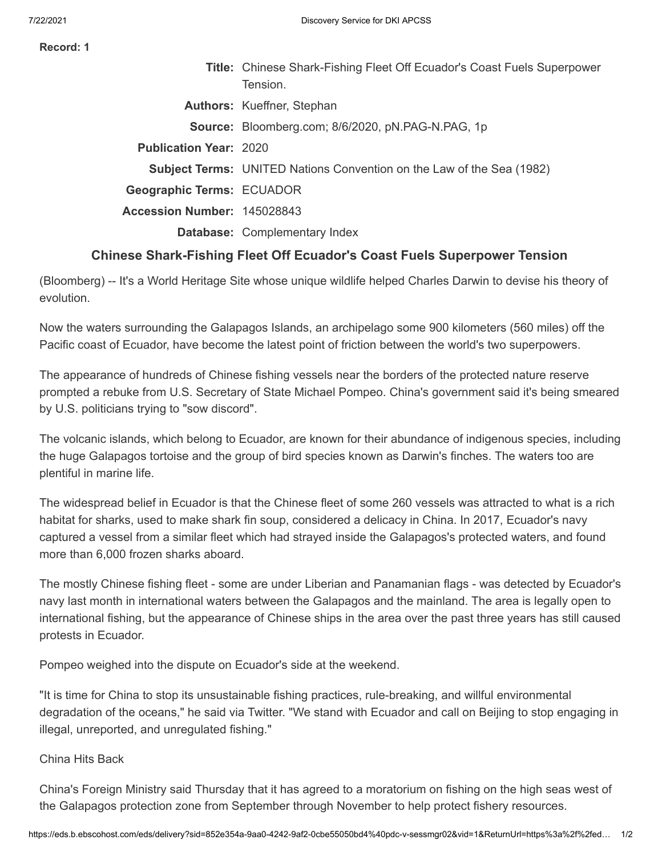**Record: 1**

|                                  | <b>Title:</b> Chinese Shark-Fishing Fleet Off Ecuador's Coast Fuels Superpower<br>Tension. |
|----------------------------------|--------------------------------------------------------------------------------------------|
|                                  | <b>Authors:</b> Kueffner, Stephan                                                          |
|                                  | Source: Bloomberg.com; 8/6/2020, pN.PAG-N.PAG, 1p                                          |
| <b>Publication Year: 2020</b>    |                                                                                            |
|                                  | <b>Subject Terms:</b> UNITED Nations Convention on the Law of the Sea (1982)               |
| <b>Geographic Terms: ECUADOR</b> |                                                                                            |
| Accession Number: 145028843      |                                                                                            |
|                                  | Database: Complementary Index                                                              |
|                                  |                                                                                            |

## **Chinese Shark-Fishing Fleet Off Ecuador's Coast Fuels Superpower Tension**

(Bloomberg) -- It's a World Heritage Site whose unique wildlife helped Charles Darwin to devise his theory of evolution.

Now the waters surrounding the Galapagos Islands, an archipelago some 900 kilometers (560 miles) off the Pacific coast of Ecuador, have become the latest point of friction between the world's two superpowers.

The appearance of hundreds of Chinese fishing vessels near the borders of the protected nature reserve prompted a rebuke from U.S. Secretary of State Michael Pompeo. China's government said it's being smeared by U.S. politicians trying to "sow discord".

The volcanic islands, which belong to Ecuador, are known for their abundance of indigenous species, including the huge Galapagos tortoise and the group of bird species known as Darwin's finches. The waters too are plentiful in marine life.

The widespread belief in Ecuador is that the Chinese fleet of some 260 vessels was attracted to what is a rich habitat for sharks, used to make shark fin soup, considered a delicacy in China. In 2017, Ecuador's navy captured a vessel from a similar fleet which had strayed inside the Galapagos's protected waters, and found more than 6,000 frozen sharks aboard.

The mostly Chinese fishing fleet - some are under Liberian and Panamanian flags - was detected by Ecuador's navy last month in international waters between the Galapagos and the mainland. The area is legally open to international fishing, but the appearance of Chinese ships in the area over the past three years has still caused protests in Ecuador.

Pompeo weighed into the dispute on Ecuador's side at the weekend.

"It is time for China to stop its unsustainable fishing practices, rule-breaking, and willful environmental degradation of the oceans," he said via Twitter. "We stand with Ecuador and call on Beijing to stop engaging in illegal, unreported, and unregulated fishing."

China Hits Back

China's Foreign Ministry said Thursday that it has agreed to a moratorium on fishing on the high seas west of the Galapagos protection zone from September through November to help protect fishery resources.